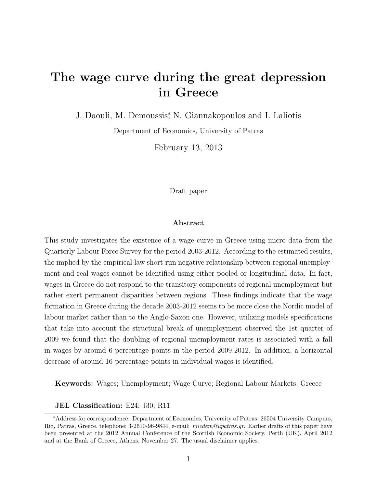# **The wage curve during the great depression in Greece**

J. Daouli, M. Demoussis*<sup>∗</sup>* , N. Giannakopoulos and I. Laliotis

Department of Economics, University of Patras

February 13, 2013

Draft paper

#### **Abstract**

This study investigates the existence of a wage curve in Greece using micro data from the Quarterly Labour Force Survey for the period 2003-2012. According to the estimated results, the implied by the empirical law short-run negative relationship between regional unemployment and real wages cannot be identified using either pooled or longitudinal data. In fact, wages in Greece do not respond to the transitory components of regional unemployment but rather exert permanent disparities between regions. These findings indicate that the wage formation in Greece during the decade 2003-2012 seems to be more close the Nordic model of labour market rather than to the Anglo-Saxon one. However, utilizing models specifications that take into account the structural break of unemployment observed the 1st quarter of 2009 we found that the doubling of regional unemployment rates is associated with a fall in wages by around 6 percentage points in the period 2009-2012. In addition, a horizontal decrease of around 16 percentage points in individual wages is identified.

**Keywords:** Wages; Unemployment; Wage Curve; Regional Labour Markets; Greece

**JEL Classification:** E24; J30; R11

*<sup>∗</sup>*Address for correspondence: Department of Economics, University of Patras, 26504 University Campurs, Rio, Patras, Greece, telephone: 3-2610-96-9844, e-mail: *micdem@upatras.gr*. Earlier drafts of this paper have been presented at the 2012 Annual Conference of the Scottish Economic Society, Perth (UK), April 2012 and at the Bank of Greece, Athens, November 27. The usual disclaimer applies.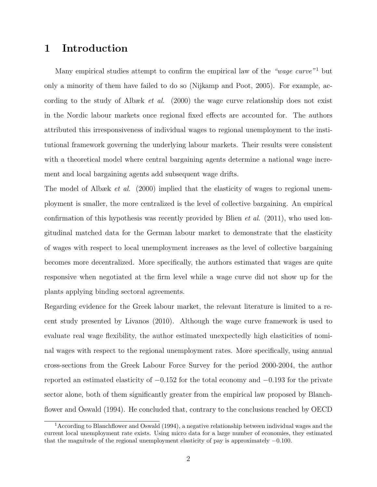# **1 Introduction**

Many empirical studies attempt to confirm the empirical law of the *"wage curve"*<sup>1</sup> but only a minority of them have failed to do so (Nijkamp and Poot, 2005). For example, according to the study of Albæk *et al.* (2000) the wage curve relationship does not exist in the Nordic labour markets once regional fixed effects are accounted for. The authors attributed this irresponsiveness of individual wages to regional unemployment to the institutional framework governing the underlying labour markets. Their results were consistent with a theoretical model where central bargaining agents determine a national wage increment and local bargaining agents add subsequent wage drifts.

The model of Albæk *et al.* (2000) implied that the elasticity of wages to regional unemployment is smaller, the more centralized is the level of collective bargaining. An empirical confirmation of this hypothesis was recently provided by Blien *et al.* (2011), who used longitudinal matched data for the German labour market to demonstrate that the elasticity of wages with respect to local unemployment increases as the level of collective bargaining becomes more decentralized. More specifically, the authors estimated that wages are quite responsive when negotiated at the firm level while a wage curve did not show up for the plants applying binding sectoral agreements.

Regarding evidence for the Greek labour market, the relevant literature is limited to a recent study presented by Livanos (2010). Although the wage curve framework is used to evaluate real wage flexibility, the author estimated unexpectedly high elasticities of nominal wages with respect to the regional unemployment rates. More specifically, using annual cross-sections from the Greek Labour Force Survey for the period 2000-2004, the author reported an estimated elasticity of *−*0*.*152 for the total economy and *−*0*.*193 for the private sector alone, both of them significantly greater from the empirical law proposed by Blanchflower and Oswald (1994). He concluded that, contrary to the conclusions reached by OECD

<sup>1</sup>According to Blanchflower and Oswald (1994), a negative relationship between individual wages and the current local unemployment rate exists. Using micro data for a large number of economies, they estimated that the magnitude of the regional unemployment elasticity of pay is approximately *−*0*.*100.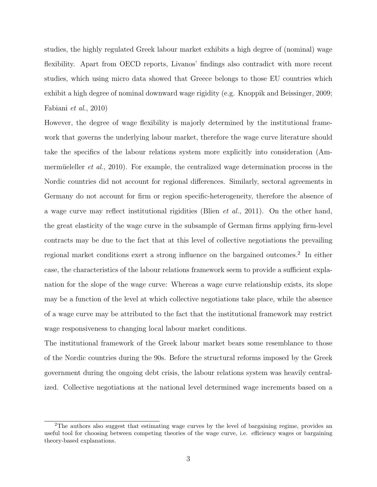studies, the highly regulated Greek labour market exhibits a high degree of (nominal) wage flexibility. Apart from OECD reports, Livanos' findings also contradict with more recent studies, which using micro data showed that Greece belongs to those EU countries which exhibit a high degree of nominal downward wage rigidity (e.g. Knoppik and Beissinger, 2009; Fabiani *et al.*, 2010)

However, the degree of wage flexibility is majorly determined by the institutional framework that governs the underlying labour market, therefore the wage curve literature should take the specifics of the labour relations system more explicitly into consideration (Ammermüeleller *et al.*, 2010). For example, the centralized wage determination process in the Nordic countries did not account for regional differences. Similarly, sectoral agreements in Germany do not account for firm or region specific-heterogeneity, therefore the absence of a wage curve may reflect institutional rigidities (Blien *et al.*, 2011). On the other hand, the great elasticity of the wage curve in the subsample of German firms applying firm-level contracts may be due to the fact that at this level of collective negotiations the prevailing regional market conditions exert a strong influence on the bargained outcomes.<sup>2</sup> In either case, the characteristics of the labour relations framework seem to provide a sufficient explanation for the slope of the wage curve: Whereas a wage curve relationship exists, its slope may be a function of the level at which collective negotiations take place, while the absence of a wage curve may be attributed to the fact that the institutional framework may restrict wage responsiveness to changing local labour market conditions.

The institutional framework of the Greek labour market bears some resemblance to those of the Nordic countries during the 90s. Before the structural reforms imposed by the Greek government during the ongoing debt crisis, the labour relations system was heavily centralized. Collective negotiations at the national level determined wage increments based on a

<sup>&</sup>lt;sup>2</sup>The authors also suggest that estimating wage curves by the level of bargaining regime, provides an useful tool for choosing between competing theories of the wage curve, i.e. efficiency wages or bargaining theory-based explanations.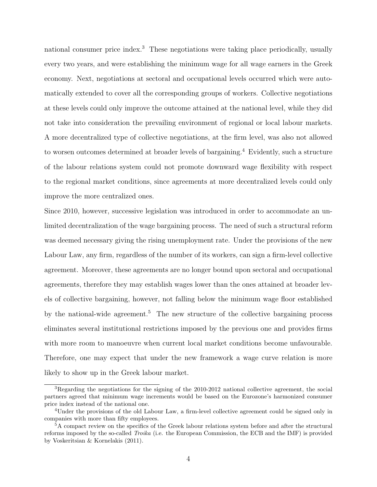national consumer price index.<sup>3</sup> These negotiations were taking place periodically, usually every two years, and were establishing the minimum wage for all wage earners in the Greek economy. Next, negotiations at sectoral and occupational levels occurred which were automatically extended to cover all the corresponding groups of workers. Collective negotiations at these levels could only improve the outcome attained at the national level, while they did not take into consideration the prevailing environment of regional or local labour markets. A more decentralized type of collective negotiations, at the firm level, was also not allowed to worsen outcomes determined at broader levels of bargaining.<sup>4</sup> Evidently, such a structure of the labour relations system could not promote downward wage flexibility with respect to the regional market conditions, since agreements at more decentralized levels could only improve the more centralized ones.

Since 2010, however, successive legislation was introduced in order to accommodate an unlimited decentralization of the wage bargaining process. The need of such a structural reform was deemed necessary giving the rising unemployment rate. Under the provisions of the new Labour Law, any firm, regardless of the number of its workers, can sign a firm-level collective agreement. Moreover, these agreements are no longer bound upon sectoral and occupational agreements, therefore they may establish wages lower than the ones attained at broader levels of collective bargaining, however, not falling below the minimum wage floor established by the national-wide agreement.<sup>5</sup> The new structure of the collective bargaining process eliminates several institutional restrictions imposed by the previous one and provides firms with more room to manoeuvre when current local market conditions become unfavourable. Therefore, one may expect that under the new framework a wage curve relation is more likely to show up in the Greek labour market.

<sup>3</sup>Regarding the negotiations for the signing of the 2010-2012 national collective agreement, the social partners agreed that minimum wage increments would be based on the Eurozone's harmonized consumer price index instead of the national one.

<sup>4</sup>Under the provisions of the old Labour Law, a firm-level collective agreement could be signed only in companies with more than fifty employees.

<sup>&</sup>lt;sup>5</sup>A compact review on the specifics of the Greek labour relations system before and after the structural reforms imposed by the so-called *Troika* (i.e. the European Commission, the ECB and the IMF) is provided by Voskeritsian & Kornelakis (2011).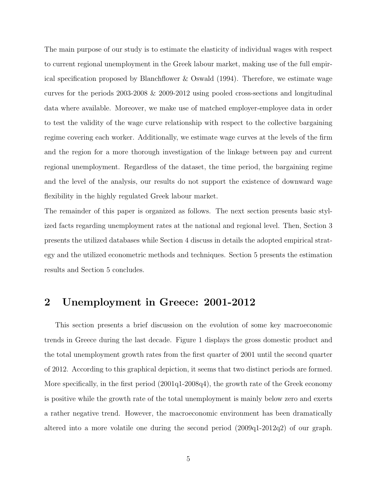The main purpose of our study is to estimate the elasticity of individual wages with respect to current regional unemployment in the Greek labour market, making use of the full empirical specification proposed by Blanchflower & Oswald (1994). Therefore, we estimate wage curves for the periods 2003-2008 & 2009-2012 using pooled cross-sections and longitudinal data where available. Moreover, we make use of matched employer-employee data in order to test the validity of the wage curve relationship with respect to the collective bargaining regime covering each worker. Additionally, we estimate wage curves at the levels of the firm and the region for a more thorough investigation of the linkage between pay and current regional unemployment. Regardless of the dataset, the time period, the bargaining regime and the level of the analysis, our results do not support the existence of downward wage flexibility in the highly regulated Greek labour market.

The remainder of this paper is organized as follows. The next section presents basic stylized facts regarding unemployment rates at the national and regional level. Then, Section 3 presents the utilized databases while Section 4 discuss in details the adopted empirical strategy and the utilized econometric methods and techniques. Section 5 presents the estimation results and Section 5 concludes.

# **2 Unemployment in Greece: 2001-2012**

This section presents a brief discussion on the evolution of some key macroeconomic trends in Greece during the last decade. Figure 1 displays the gross domestic product and the total unemployment growth rates from the first quarter of 2001 until the second quarter of 2012. According to this graphical depiction, it seems that two distinct periods are formed. More specifically, in the first period (2001q1-2008q4), the growth rate of the Greek economy is positive while the growth rate of the total unemployment is mainly below zero and exerts a rather negative trend. However, the macroeconomic environment has been dramatically altered into a more volatile one during the second period (2009q1-2012q2) of our graph.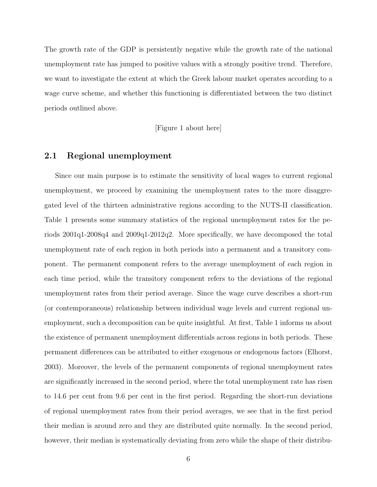The growth rate of the GDP is persistently negative while the growth rate of the national unemployment rate has jumped to positive values with a strongly positive trend. Therefore, we want to investigate the extent at which the Greek labour market operates according to a wage curve scheme, and whether this functioning is differentiated between the two distinct periods outlined above.

[Figure 1 about here]

### **2.1 Regional unemployment**

Since our main purpose is to estimate the sensitivity of local wages to current regional unemployment, we proceed by examining the unemployment rates to the more disaggregated level of the thirteen administrative regions according to the NUTS-II classification. Table 1 presents some summary statistics of the regional unemployment rates for the periods 2001q1-2008q4 and 2009q1-2012q2. More specifically, we have decomposed the total unemployment rate of each region in both periods into a permanent and a transitory component. The permanent component refers to the average unemployment of each region in each time period, while the transitory component refers to the deviations of the regional unemployment rates from their period average. Since the wage curve describes a short-run (or contemporaneous) relationship between individual wage levels and current regional unemployment, such a decomposition can be quite insightful. At first, Table 1 informs us about the existence of permanent unemployment differentials across regions in both periods. These permanent differences can be attributed to either exogenous or endogenous factors (Elhorst, 2003). Moreover, the levels of the permanent components of regional unemployment rates are significantly increased in the second period, where the total unemployment rate has risen to 14.6 per cent from 9.6 per cent in the first period. Regarding the short-run deviations of regional unemployment rates from their period averages, we see that in the first period their median is around zero and they are distributed quite normally. In the second period, however, their median is systematically deviating from zero while the shape of their distribu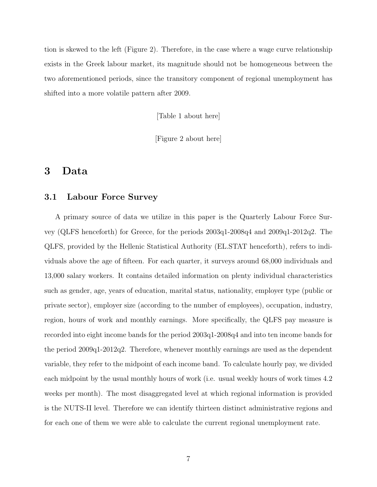tion is skewed to the left (Figure 2). Therefore, in the case where a wage curve relationship exists in the Greek labour market, its magnitude should not be homogeneous between the two aforementioned periods, since the transitory component of regional unemployment has shifted into a more volatile pattern after 2009.

[Table 1 about here]

[Figure 2 about here]

# **3 Data**

## **3.1 Labour Force Survey**

A primary source of data we utilize in this paper is the Quarterly Labour Force Survey (QLFS henceforth) for Greece, for the periods 2003q1-2008q4 and 2009q1-2012q2. The QLFS, provided by the Hellenic Statistical Authority (EL.STAT henceforth), refers to individuals above the age of fifteen. For each quarter, it surveys around 68,000 individuals and 13,000 salary workers. It contains detailed information on plenty individual characteristics such as gender, age, years of education, marital status, nationality, employer type (public or private sector), employer size (according to the number of employees), occupation, industry, region, hours of work and monthly earnings. More specifically, the QLFS pay measure is recorded into eight income bands for the period 2003q1-2008q4 and into ten income bands for the period 2009q1-2012q2. Therefore, whenever monthly earnings are used as the dependent variable, they refer to the midpoint of each income band. To calculate hourly pay, we divided each midpoint by the usual monthly hours of work (i.e. usual weekly hours of work times 4.2 weeks per month). The most disaggregated level at which regional information is provided is the NUTS-II level. Therefore we can identify thirteen distinct administrative regions and for each one of them we were able to calculate the current regional unemployment rate.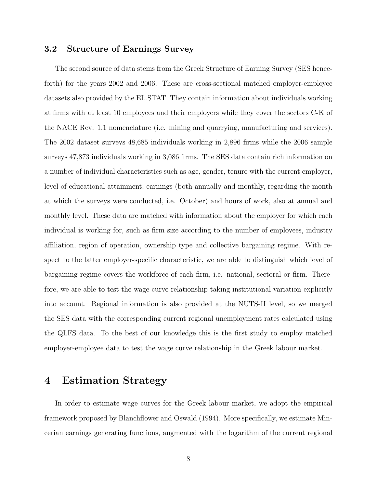## **3.2 Structure of Earnings Survey**

The second source of data stems from the Greek Structure of Earning Survey (SES henceforth) for the years 2002 and 2006. These are cross-sectional matched employer-employee datasets also provided by the EL.STAT. They contain information about individuals working at firms with at least 10 employees and their employers while they cover the sectors C-K of the NACE Rev. 1.1 nomenclature (i.e. mining and quarrying, manufacturing and services). The 2002 dataset surveys 48,685 individuals working in 2,896 firms while the 2006 sample surveys 47,873 individuals working in 3,086 firms. The SES data contain rich information on a number of individual characteristics such as age, gender, tenure with the current employer, level of educational attainment, earnings (both annually and monthly, regarding the month at which the surveys were conducted, i.e. October) and hours of work, also at annual and monthly level. These data are matched with information about the employer for which each individual is working for, such as firm size according to the number of employees, industry affiliation, region of operation, ownership type and collective bargaining regime. With respect to the latter employer-specific characteristic, we are able to distinguish which level of bargaining regime covers the workforce of each firm, i.e. national, sectoral or firm. Therefore, we are able to test the wage curve relationship taking institutional variation explicitly into account. Regional information is also provided at the NUTS-II level, so we merged the SES data with the corresponding current regional unemployment rates calculated using the QLFS data. To the best of our knowledge this is the first study to employ matched employer-employee data to test the wage curve relationship in the Greek labour market.

# **4 Estimation Strategy**

In order to estimate wage curves for the Greek labour market, we adopt the empirical framework proposed by Blanchflower and Oswald (1994). More specifically, we estimate Mincerian earnings generating functions, augmented with the logarithm of the current regional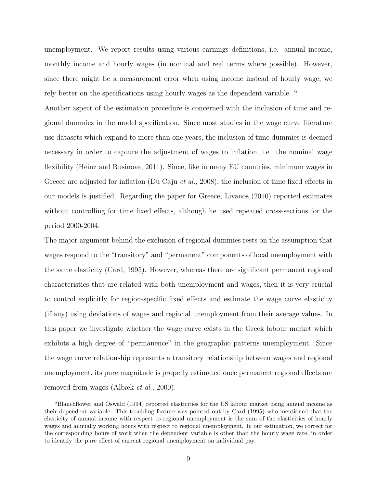unemployment. We report results using various earnings definitions, i.e. annual income, monthly income and hourly wages (in nominal and real terms where possible). However, since there might be a measurement error when using income instead of hourly wage, we rely better on the specifications using hourly wages as the dependent variable. <sup>6</sup>

Another aspect of the estimation procedure is concerned with the inclusion of time and regional dummies in the model specification. Since most studies in the wage curve literature use datasets which expand to more than one years, the inclusion of time dummies is deemed necessary in order to capture the adjustment of wages to inflation, i.e. the nominal wage flexibility (Heinz and Rusinova, 2011). Since, like in many EU countries, minimum wages in Greece are adjusted for inflation (Du Caju *et al.*, 2008), the inclusion of time fixed effects in our models is justified. Regarding the paper for Greece, Livanos (2010) reported estimates without controlling for time fixed effects, although he used repeated cross-sections for the period 2000-2004.

The major argument behind the exclusion of regional dummies rests on the assumption that wages respond to the "transitory" and "permanent" components of local unemployment with the same elasticity (Card, 1995). However, whereas there are significant permanent regional characteristics that are related with both unemployment and wages, then it is very crucial to control explicitly for region-specific fixed effects and estimate the wage curve elasticity (if any) using deviations of wages and regional unemployment from their average values. In this paper we investigate whether the wage curve exists in the Greek labour market which exhibits a high degree of "permanence" in the geographic patterns unemployment. Since the wage curve relationship represents a transitory relationship between wages and regional unemployment, its pure magnitude is properly estimated once permanent regional effects are removed from wages (Albæk *et al.*, 2000).

<sup>6</sup>Blanchflower and Oswald (1994) reported elasticities for the US labour market using annual income as their dependent variable. This troubling feature was pointed out by Card (1995) who mentioned that the elasticity of annual income with respect to regional unemployment is the sum of the elasticities of hourly wages and annually working hours with respect to regional unemployment. In our estimation, we correct for the corresponding hours of work when the dependent variable is other than the hourly wage rate, in order to identify the pure effect of current regional unemployment on individual pay.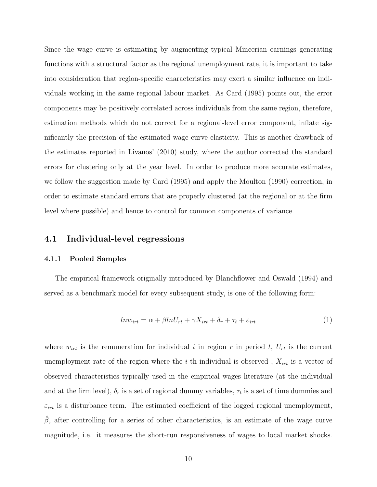Since the wage curve is estimating by augmenting typical Mincerian earnings generating functions with a structural factor as the regional unemployment rate, it is important to take into consideration that region-specific characteristics may exert a similar influence on individuals working in the same regional labour market. As Card (1995) points out, the error components may be positively correlated across individuals from the same region, therefore, estimation methods which do not correct for a regional-level error component, inflate significantly the precision of the estimated wage curve elasticity. This is another drawback of the estimates reported in Livanos' (2010) study, where the author corrected the standard errors for clustering only at the year level. In order to produce more accurate estimates, we follow the suggestion made by Card (1995) and apply the Moulton (1990) correction, in order to estimate standard errors that are properly clustered (at the regional or at the firm level where possible) and hence to control for common components of variance.

#### **4.1 Individual-level regressions**

#### **4.1.1 Pooled Samples**

The empirical framework originally introduced by Blanchflower and Oswald (1994) and served as a benchmark model for every subsequent study, is one of the following form:

$$
ln w_{irt} = \alpha + \beta ln U_{rt} + \gamma X_{irt} + \delta_r + \tau_t + \varepsilon_{irt}
$$
\n<sup>(1)</sup>

where  $w_{irt}$  is the remuneration for individual *i* in region *r* in period *t*,  $U_{rt}$  is the current unemployment rate of the region where the *i*-th individual is observed,  $X_{irt}$  is a vector of observed characteristics typically used in the empirical wages literature (at the individual and at the firm level),  $\delta_r$  is a set of regional dummy variables,  $\tau_t$  is a set of time dummies and  $\varepsilon_{irt}$  is a disturbance term. The estimated coefficient of the logged regional unemployment,  $β$ , after controlling for a series of other characteristics, is an estimate of the wage curve magnitude, i.e. it measures the short-run responsiveness of wages to local market shocks.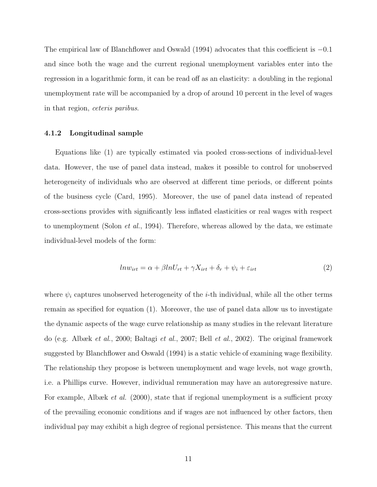The empirical law of Blanchflower and Oswald (1994) advocates that this coefficient is *−*0*.*1 and since both the wage and the current regional unemployment variables enter into the regression in a logarithmic form, it can be read off as an elasticity: a doubling in the regional unemployment rate will be accompanied by a drop of around 10 percent in the level of wages in that region, *ceteris paribus*.

#### **4.1.2 Longitudinal sample**

Equations like (1) are typically estimated via pooled cross-sections of individual-level data. However, the use of panel data instead, makes it possible to control for unobserved heterogeneity of individuals who are observed at different time periods, or different points of the business cycle (Card, 1995). Moreover, the use of panel data instead of repeated cross-sections provides with significantly less inflated elasticities or real wages with respect to unemployment (Solon *et al.*, 1994). Therefore, whereas allowed by the data, we estimate individual-level models of the form:

$$
ln w_{irt} = \alpha + \beta ln U_{rt} + \gamma X_{irt} + \delta_r + \psi_i + \varepsilon_{irt}
$$
\n<sup>(2)</sup>

where  $\psi_i$  captures unobserved heterogeneity of the *i*-th individual, while all the other terms remain as specified for equation (1). Moreover, the use of panel data allow us to investigate the dynamic aspects of the wage curve relationship as many studies in the relevant literature do (e.g. Albæk *et al.*, 2000; Baltagi *et al.*, 2007; Bell *et al.*, 2002). The original framework suggested by Blanchflower and Oswald (1994) is a static vehicle of examining wage flexibility. The relationship they propose is between unemployment and wage levels, not wage growth, i.e. a Phillips curve. However, individual remuneration may have an autoregressive nature. For example, Albæk *et al.* (2000), state that if regional unemployment is a sufficient proxy of the prevailing economic conditions and if wages are not influenced by other factors, then individual pay may exhibit a high degree of regional persistence. This means that the current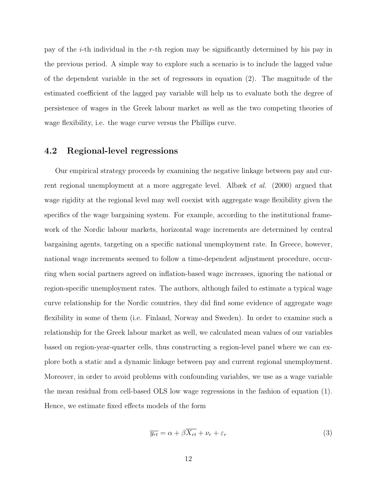pay of the *i*-th individual in the *r*-th region may be significantly determined by his pay in the previous period. A simple way to explore such a scenario is to include the lagged value of the dependent variable in the set of regressors in equation (2). The magnitude of the estimated coefficient of the lagged pay variable will help us to evaluate both the degree of persistence of wages in the Greek labour market as well as the two competing theories of wage flexibility, i.e. the wage curve versus the Phillips curve.

### **4.2 Regional-level regressions**

Our empirical strategy proceeds by examining the negative linkage between pay and current regional unemployment at a more aggregate level. Albæk *et al.* (2000) argued that wage rigidity at the regional level may well coexist with aggregate wage flexibility given the specifics of the wage bargaining system. For example, according to the institutional framework of the Nordic labour markets, horizontal wage increments are determined by central bargaining agents, targeting on a specific national unemployment rate. In Greece, however, national wage increments seemed to follow a time-dependent adjustment procedure, occurring when social partners agreed on inflation-based wage increases, ignoring the national or region-specific unemployment rates. The authors, although failed to estimate a typical wage curve relationship for the Nordic countries, they did find some evidence of aggregate wage flexibility in some of them (i.e. Finland, Norway and Sweden). In order to examine such a relationship for the Greek labour market as well, we calculated mean values of our variables based on region-year-quarter cells, thus constructing a region-level panel where we can explore both a static and a dynamic linkage between pay and current regional unemployment. Moreover, in order to avoid problems with confounding variables, we use as a wage variable the mean residual from cell-based OLS low wage regressions in the fashion of equation (1). Hence, we estimate fixed effects models of the form

$$
\overline{y_{rt}} = \alpha + \beta \overline{X_{rt}} + \nu_r + \varepsilon_r \tag{3}
$$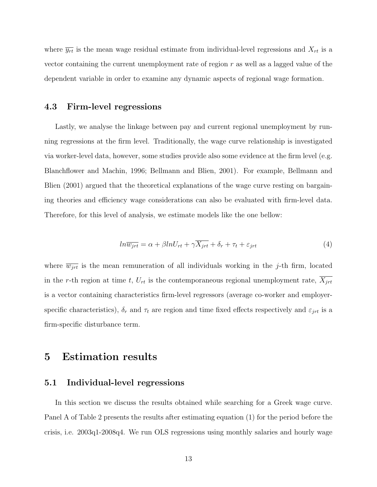where  $\overline{y_{rt}}$  is the mean wage residual estimate from individual-level regressions and  $X_{rt}$  is a vector containing the current unemployment rate of region *r* as well as a lagged value of the dependent variable in order to examine any dynamic aspects of regional wage formation.

### **4.3 Firm-level regressions**

Lastly, we analyse the linkage between pay and current regional unemployment by running regressions at the firm level. Traditionally, the wage curve relationship is investigated via worker-level data, however, some studies provide also some evidence at the firm level (e.g. Blanchflower and Machin, 1996; Bellmann and Blien, 2001). For example, Bellmann and Blien (2001) argued that the theoretical explanations of the wage curve resting on bargaining theories and efficiency wage considerations can also be evaluated with firm-level data. Therefore, for this level of analysis, we estimate models like the one bellow:

$$
ln \overline{w_{jrt}} = \alpha + \beta ln U_{rt} + \gamma \overline{X_{jrt}} + \delta_r + \tau_t + \varepsilon_{jrt}
$$
\n<sup>(4)</sup>

where  $\overline{w_{jrt}}$  is the mean remuneration of all individuals working in the *j*-th firm, located in the *r*-th region at time *t*,  $U_{rt}$  is the contemporaneous regional unemployment rate,  $X_{jrt}$ is a vector containing characteristics firm-level regressors (average co-worker and employerspecific characteristics),  $\delta_r$  and  $\tau_t$  are region and time fixed effects respectively and  $\varepsilon_{jrt}$  is a firm-specific disturbance term.

# **5 Estimation results**

### **5.1 Individual-level regressions**

In this section we discuss the results obtained while searching for a Greek wage curve. Panel A of Table 2 presents the results after estimating equation (1) for the period before the crisis, i.e. 2003q1-2008q4. We run OLS regressions using monthly salaries and hourly wage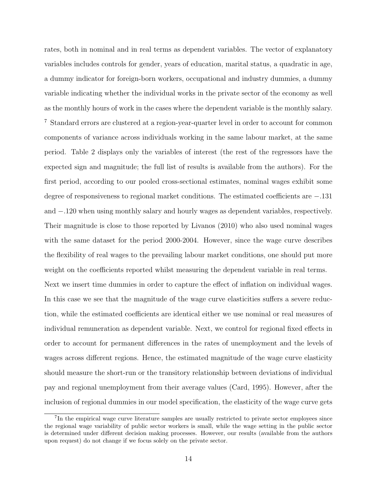rates, both in nominal and in real terms as dependent variables. The vector of explanatory variables includes controls for gender, years of education, marital status, a quadratic in age, a dummy indicator for foreign-born workers, occupational and industry dummies, a dummy variable indicating whether the individual works in the private sector of the economy as well as the monthly hours of work in the cases where the dependent variable is the monthly salary. <sup>7</sup> Standard errors are clustered at a region-year-quarter level in order to account for common components of variance across individuals working in the same labour market, at the same period. Table 2 displays only the variables of interest (the rest of the regressors have the expected sign and magnitude; the full list of results is available from the authors). For the first period, according to our pooled cross-sectional estimates, nominal wages exhibit some degree of responsiveness to regional market conditions. The estimated coefficients are *−.*131 and *−.*120 when using monthly salary and hourly wages as dependent variables, respectively. Their magnitude is close to those reported by Livanos (2010) who also used nominal wages with the same dataset for the period 2000-2004. However, since the wage curve describes the flexibility of real wages to the prevailing labour market conditions, one should put more weight on the coefficients reported whilst measuring the dependent variable in real terms. Next we insert time dummies in order to capture the effect of inflation on individual wages. In this case we see that the magnitude of the wage curve elasticities suffers a severe reduction, while the estimated coefficients are identical either we use nominal or real measures of individual remuneration as dependent variable. Next, we control for regional fixed effects in order to account for permanent differences in the rates of unemployment and the levels of wages across different regions. Hence, the estimated magnitude of the wage curve elasticity should measure the short-run or the transitory relationship between deviations of individual

inclusion of regional dummies in our model specification, the elasticity of the wage curve gets

pay and regional unemployment from their average values (Card, 1995). However, after the

<sup>&</sup>lt;sup>7</sup>In the empirical wage curve literature samples are usually restricted to private sector employees since the regional wage variability of public sector workers is small, while the wage setting in the public sector is determined under different decision making processes. However, our results (available from the authors upon request) do not change if we focus solely on the private sector.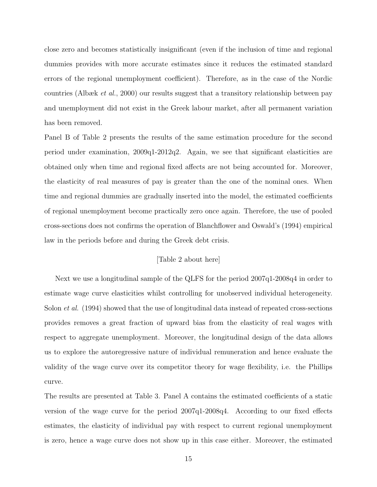close zero and becomes statistically insignificant (even if the inclusion of time and regional dummies provides with more accurate estimates since it reduces the estimated standard errors of the regional unemployment coefficient). Therefore, as in the case of the Nordic countries (Albæk *et al.*, 2000) our results suggest that a transitory relationship between pay and unemployment did not exist in the Greek labour market, after all permanent variation has been removed.

Panel B of Table 2 presents the results of the same estimation procedure for the second period under examination, 2009q1-2012q2. Again, we see that significant elasticities are obtained only when time and regional fixed affects are not being accounted for. Moreover, the elasticity of real measures of pay is greater than the one of the nominal ones. When time and regional dummies are gradually inserted into the model, the estimated coefficients of regional unemployment become practically zero once again. Therefore, the use of pooled cross-sections does not confirms the operation of Blanchflower and Oswald's (1994) empirical law in the periods before and during the Greek debt crisis.

#### [Table 2 about here]

Next we use a longitudinal sample of the QLFS for the period 2007q1-2008q4 in order to estimate wage curve elasticities whilst controlling for unobserved individual heterogeneity. Solon *et al.* (1994) showed that the use of longitudinal data instead of repeated cross-sections provides removes a great fraction of upward bias from the elasticity of real wages with respect to aggregate unemployment. Moreover, the longitudinal design of the data allows us to explore the autoregressive nature of individual remuneration and hence evaluate the validity of the wage curve over its competitor theory for wage flexibility, i.e. the Phillips curve.

The results are presented at Table 3. Panel A contains the estimated coefficients of a static version of the wage curve for the period 2007q1-2008q4. According to our fixed effects estimates, the elasticity of individual pay with respect to current regional unemployment is zero, hence a wage curve does not show up in this case either. Moreover, the estimated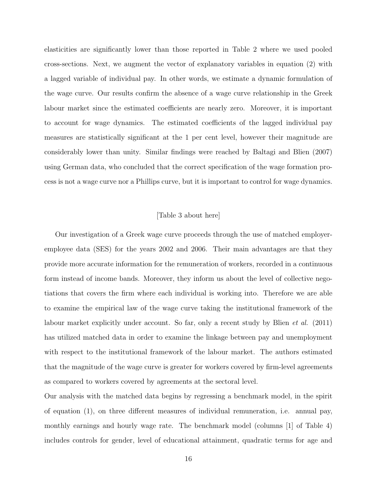elasticities are significantly lower than those reported in Table 2 where we used pooled cross-sections. Next, we augment the vector of explanatory variables in equation (2) with a lagged variable of individual pay. In other words, we estimate a dynamic formulation of the wage curve. Our results confirm the absence of a wage curve relationship in the Greek labour market since the estimated coefficients are nearly zero. Moreover, it is important to account for wage dynamics. The estimated coefficients of the lagged individual pay measures are statistically significant at the 1 per cent level, however their magnitude are considerably lower than unity. Similar findings were reached by Baltagi and Blien (2007) using German data, who concluded that the correct specification of the wage formation process is not a wage curve nor a Phillips curve, but it is important to control for wage dynamics.

#### [Table 3 about here]

Our investigation of a Greek wage curve proceeds through the use of matched employeremployee data (SES) for the years 2002 and 2006. Their main advantages are that they provide more accurate information for the remuneration of workers, recorded in a continuous form instead of income bands. Moreover, they inform us about the level of collective negotiations that covers the firm where each individual is working into. Therefore we are able to examine the empirical law of the wage curve taking the institutional framework of the labour market explicitly under account. So far, only a recent study by Blien *et al.* (2011) has utilized matched data in order to examine the linkage between pay and unemployment with respect to the institutional framework of the labour market. The authors estimated that the magnitude of the wage curve is greater for workers covered by firm-level agreements as compared to workers covered by agreements at the sectoral level.

Our analysis with the matched data begins by regressing a benchmark model, in the spirit of equation (1), on three different measures of individual remuneration, i.e. annual pay, monthly earnings and hourly wage rate. The benchmark model (columns [1] of Table 4) includes controls for gender, level of educational attainment, quadratic terms for age and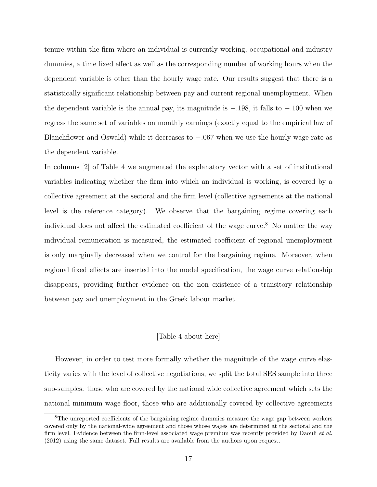tenure within the firm where an individual is currently working, occupational and industry dummies, a time fixed effect as well as the corresponding number of working hours when the dependent variable is other than the hourly wage rate. Our results suggest that there is a statistically significant relationship between pay and current regional unemployment. When the dependent variable is the annual pay, its magnitude is *−.*198, it falls to *−.*100 when we regress the same set of variables on monthly earnings (exactly equal to the empirical law of Blanchflower and Oswald) while it decreases to *−.*067 when we use the hourly wage rate as the dependent variable.

In columns [2] of Table 4 we augmented the explanatory vector with a set of institutional variables indicating whether the firm into which an individual is working, is covered by a collective agreement at the sectoral and the firm level (collective agreements at the national level is the reference category). We observe that the bargaining regime covering each individual does not affect the estimated coefficient of the wage curve.<sup>8</sup> No matter the way individual remuneration is measured, the estimated coefficient of regional unemployment is only marginally decreased when we control for the bargaining regime. Moreover, when regional fixed effects are inserted into the model specification, the wage curve relationship disappears, providing further evidence on the non existence of a transitory relationship between pay and unemployment in the Greek labour market.

#### [Table 4 about here]

However, in order to test more formally whether the magnitude of the wage curve elasticity varies with the level of collective negotiations, we split the total SES sample into three sub-samples: those who are covered by the national wide collective agreement which sets the national minimum wage floor, those who are additionally covered by collective agreements

<sup>8</sup>The unreported coefficients of the bargaining regime dummies measure the wage gap between workers covered only by the national-wide agreement and those whose wages are determined at the sectoral and the firm level. Evidence between the firm-level associated wage premium was recently provided by Daouli *et al.* (2012) using the same dataset. Full results are available from the authors upon request.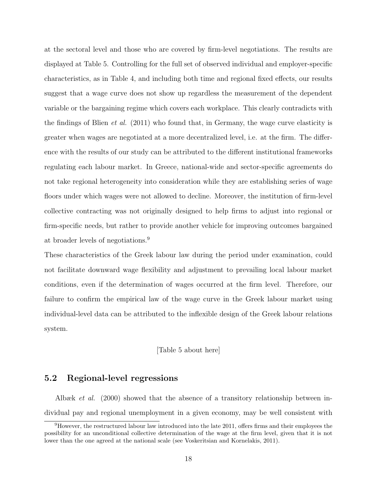at the sectoral level and those who are covered by firm-level negotiations. The results are displayed at Table 5. Controlling for the full set of observed individual and employer-specific characteristics, as in Table 4, and including both time and regional fixed effects, our results suggest that a wage curve does not show up regardless the measurement of the dependent variable or the bargaining regime which covers each workplace. This clearly contradicts with the findings of Blien *et al.* (2011) who found that, in Germany, the wage curve elasticity is greater when wages are negotiated at a more decentralized level, i.e. at the firm. The difference with the results of our study can be attributed to the different institutional frameworks regulating each labour market. In Greece, national-wide and sector-specific agreements do not take regional heterogeneity into consideration while they are establishing series of wage floors under which wages were not allowed to decline. Moreover, the institution of firm-level collective contracting was not originally designed to help firms to adjust into regional or firm-specific needs, but rather to provide another vehicle for improving outcomes bargained at broader levels of negotiations.<sup>9</sup>

These characteristics of the Greek labour law during the period under examination, could not facilitate downward wage flexibility and adjustment to prevailing local labour market conditions, even if the determination of wages occurred at the firm level. Therefore, our failure to confirm the empirical law of the wage curve in the Greek labour market using individual-level data can be attributed to the inflexible design of the Greek labour relations system.

#### [Table 5 about here]

### **5.2 Regional-level regressions**

Albæk *et al.* (2000) showed that the absence of a transitory relationship between individual pay and regional unemployment in a given economy, may be well consistent with

 $9However$ , the restructured labour law introduced into the late 2011, offers firms and their employees the possibility for an unconditional collective determination of the wage at the firm level, given that it is not lower than the one agreed at the national scale (see Voskeritsian and Kornelakis, 2011).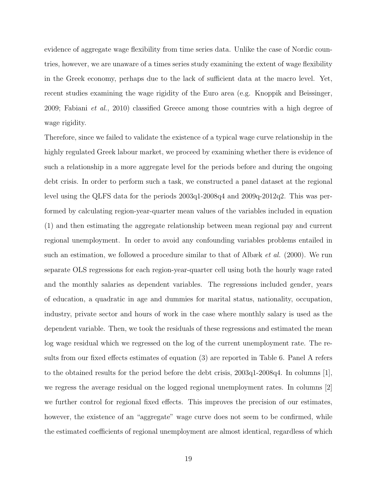evidence of aggregate wage flexibility from time series data. Unlike the case of Nordic countries, however, we are unaware of a times series study examining the extent of wage flexibility in the Greek economy, perhaps due to the lack of sufficient data at the macro level. Yet, recent studies examining the wage rigidity of the Euro area (e.g. Knoppik and Beissinger, 2009; Fabiani *et al.*, 2010) classified Greece among those countries with a high degree of wage rigidity.

Therefore, since we failed to validate the existence of a typical wage curve relationship in the highly regulated Greek labour market, we proceed by examining whether there is evidence of such a relationship in a more aggregate level for the periods before and during the ongoing debt crisis. In order to perform such a task, we constructed a panel dataset at the regional level using the QLFS data for the periods 2003q1-2008q4 and 2009q-2012q2. This was performed by calculating region-year-quarter mean values of the variables included in equation (1) and then estimating the aggregate relationship between mean regional pay and current regional unemployment. In order to avoid any confounding variables problems entailed in such an estimation, we followed a procedure similar to that of Albæk *et al.* (2000). We run separate OLS regressions for each region-year-quarter cell using both the hourly wage rated and the monthly salaries as dependent variables. The regressions included gender, years of education, a quadratic in age and dummies for marital status, nationality, occupation, industry, private sector and hours of work in the case where monthly salary is used as the dependent variable. Then, we took the residuals of these regressions and estimated the mean log wage residual which we regressed on the log of the current unemployment rate. The results from our fixed effects estimates of equation (3) are reported in Table 6. Panel A refers to the obtained results for the period before the debt crisis, 2003q1-2008q4. In columns [1], we regress the average residual on the logged regional unemployment rates. In columns [2] we further control for regional fixed effects. This improves the precision of our estimates, however, the existence of an "aggregate" wage curve does not seem to be confirmed, while the estimated coefficients of regional unemployment are almost identical, regardless of which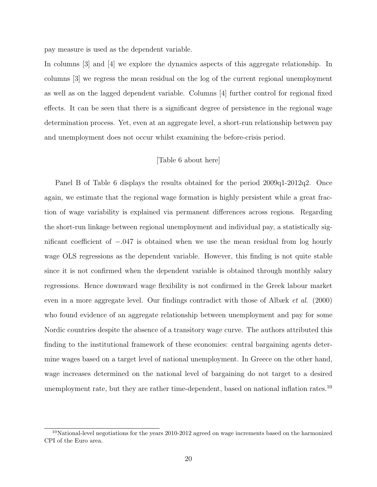pay measure is used as the dependent variable.

In columns [3] and [4] we explore the dynamics aspects of this aggregate relationship. In columns [3] we regress the mean residual on the log of the current regional unemployment as well as on the lagged dependent variable. Columns [4] further control for regional fixed effects. It can be seen that there is a significant degree of persistence in the regional wage determination process. Yet, even at an aggregate level, a short-run relationship between pay and unemployment does not occur whilst examining the before-crisis period.

#### [Table 6 about here]

Panel B of Table 6 displays the results obtained for the period 2009q1-2012q2. Once again, we estimate that the regional wage formation is highly persistent while a great fraction of wage variability is explained via permanent differences across regions. Regarding the short-run linkage between regional unemployment and individual pay, a statistically significant coefficient of *−.*047 is obtained when we use the mean residual from log hourly wage OLS regressions as the dependent variable. However, this finding is not quite stable since it is not confirmed when the dependent variable is obtained through monthly salary regressions. Hence downward wage flexibility is not confirmed in the Greek labour market even in a more aggregate level. Our findings contradict with those of Albæk *et al.* (2000) who found evidence of an aggregate relationship between unemployment and pay for some Nordic countries despite the absence of a transitory wage curve. The authors attributed this finding to the institutional framework of these economies: central bargaining agents determine wages based on a target level of national unemployment. In Greece on the other hand, wage increases determined on the national level of bargaining do not target to a desired unemployment rate, but they are rather time-dependent, based on national inflation rates.<sup>10</sup>

<sup>&</sup>lt;sup>10</sup>National-level negotiations for the years 2010-2012 agreed on wage increments based on the harmonized CPI of the Euro area.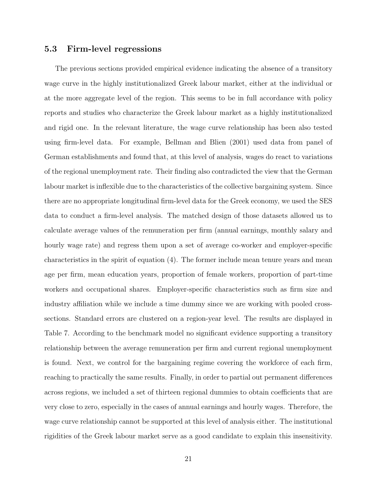### **5.3 Firm-level regressions**

The previous sections provided empirical evidence indicating the absence of a transitory wage curve in the highly institutionalized Greek labour market, either at the individual or at the more aggregate level of the region. This seems to be in full accordance with policy reports and studies who characterize the Greek labour market as a highly institutionalized and rigid one. In the relevant literature, the wage curve relationship has been also tested using firm-level data. For example, Bellman and Blien (2001) used data from panel of German establishments and found that, at this level of analysis, wages do react to variations of the regional unemployment rate. Their finding also contradicted the view that the German labour market is inflexible due to the characteristics of the collective bargaining system. Since there are no appropriate longitudinal firm-level data for the Greek economy, we used the SES data to conduct a firm-level analysis. The matched design of those datasets allowed us to calculate average values of the remuneration per firm (annual earnings, monthly salary and hourly wage rate) and regress them upon a set of average co-worker and employer-specific characteristics in the spirit of equation (4). The former include mean tenure years and mean age per firm, mean education years, proportion of female workers, proportion of part-time workers and occupational shares. Employer-specific characteristics such as firm size and industry affiliation while we include a time dummy since we are working with pooled crosssections. Standard errors are clustered on a region-year level. The results are displayed in Table 7. According to the benchmark model no significant evidence supporting a transitory relationship between the average remuneration per firm and current regional unemployment is found. Next, we control for the bargaining regime covering the workforce of each firm, reaching to practically the same results. Finally, in order to partial out permanent differences across regions, we included a set of thirteen regional dummies to obtain coefficients that are very close to zero, especially in the cases of annual earnings and hourly wages. Therefore, the wage curve relationship cannot be supported at this level of analysis either. The institutional rigidities of the Greek labour market serve as a good candidate to explain this insensitivity.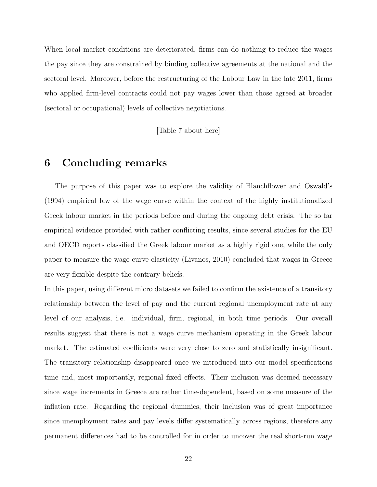When local market conditions are deteriorated, firms can do nothing to reduce the wages the pay since they are constrained by binding collective agreements at the national and the sectoral level. Moreover, before the restructuring of the Labour Law in the late 2011, firms who applied firm-level contracts could not pay wages lower than those agreed at broader (sectoral or occupational) levels of collective negotiations.

[Table 7 about here]

# **6 Concluding remarks**

The purpose of this paper was to explore the validity of Blanchflower and Oswald's (1994) empirical law of the wage curve within the context of the highly institutionalized Greek labour market in the periods before and during the ongoing debt crisis. The so far empirical evidence provided with rather conflicting results, since several studies for the EU and OECD reports classified the Greek labour market as a highly rigid one, while the only paper to measure the wage curve elasticity (Livanos, 2010) concluded that wages in Greece are very flexible despite the contrary beliefs.

In this paper, using different micro datasets we failed to confirm the existence of a transitory relationship between the level of pay and the current regional unemployment rate at any level of our analysis, i.e. individual, firm, regional, in both time periods. Our overall results suggest that there is not a wage curve mechanism operating in the Greek labour market. The estimated coefficients were very close to zero and statistically insignificant. The transitory relationship disappeared once we introduced into our model specifications time and, most importantly, regional fixed effects. Their inclusion was deemed necessary since wage increments in Greece are rather time-dependent, based on some measure of the inflation rate. Regarding the regional dummies, their inclusion was of great importance since unemployment rates and pay levels differ systematically across regions, therefore any permanent differences had to be controlled for in order to uncover the real short-run wage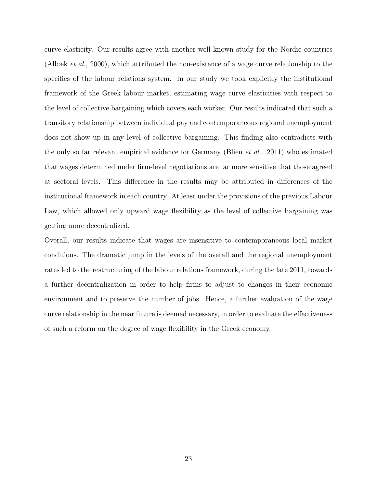curve elasticity. Our results agree with another well known study for the Nordic countries (Albæk *et al.*, 2000), which attributed the non-existence of a wage curve relationship to the specifics of the labour relations system. In our study we took explicitly the institutional framework of the Greek labour market, estimating wage curve elasticities with respect to the level of collective bargaining which covers each worker. Our results indicated that such a transitory relationship between individual pay and contemporaneous regional unemployment does not show up in any level of collective bargaining. This finding also contradicts with the only so far relevant empirical evidence for Germany (Blien *et al.*. 2011) who estimated that wages determined under firm-level negotiations are far more sensitive that those agreed at sectoral levels. This difference in the results may be attributed in differences of the institutional framework in each country. At least under the provisions of the previous Labour Law, which allowed only upward wage flexibility as the level of collective bargaining was getting more decentralized.

Overall, our results indicate that wages are insensitive to contemporaneous local market conditions. The dramatic jump in the levels of the overall and the regional unemployment rates led to the restructuring of the labour relations framework, during the late 2011, towards a further decentralization in order to help firms to adjust to changes in their economic environment and to preserve the number of jobs. Hence, a further evaluation of the wage curve relationship in the near future is deemed necessary, in order to evaluate the effectiveness of such a reform on the degree of wage flexibility in the Greek economy.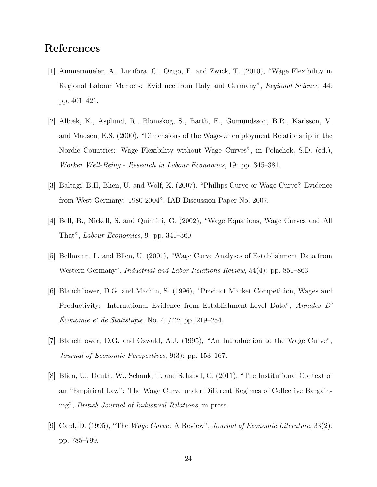# **References**

- [1] Ammermüeler, A., Lucifora, C., Origo, F. and Zwick, T. (2010), "Wage Flexibility in Regional Labour Markets: Evidence from Italy and Germany", *Regional Science*, 44: pp. 401–421.
- [2] Albæk, K., Asplund, R., Blomskog, S., Barth, E., Gumundsson, B.R., Karlsson, V. and Madsen, E.S. (2000), "Dimensions of the Wage-Unemployment Relationship in the Nordic Countries: Wage Flexibility without Wage Curves", in Polachek, S.D. (ed.), *Worker Well-Being - Research in Labour Economics*, 19: pp. 345–381.
- [3] Baltagi, B.H, Blien, U. and Wolf, K. (2007), "Phillips Curve or Wage Curve? Evidence from West Germany: 1980-2004", IAB Discussion Paper No. 2007.
- [4] Bell, B., Nickell, S. and Quintini, G. (2002), "Wage Equations, Wage Curves and All That", *Labour Economics*, 9: pp. 341–360.
- [5] Bellmann, L. and Blien, U. (2001), "Wage Curve Analyses of Establishment Data from Western Germany", *Industrial and Labor Relations Review*, 54(4): pp. 851–863.
- [6] Blanchflower, D.G. and Machin, S. (1996), "Product Market Competition, Wages and Productivity: International Evidence from Establishment-Level Data", *Annales D' Economie et de Statistique*, No. 41/42: pp. 219–254.
- [7] Blanchflower, D.G. and Oswald, A.J. (1995), "An Introduction to the Wage Curve", *Journal of Economic Perspectives*, 9(3): pp. 153–167.
- [8] Blien, U., Dauth, W., Schank, T. and Schabel, C. (2011), "The Institutional Context of an "Empirical Law": The Wage Curve under Different Regimes of Collective Bargaining", *British Journal of Industrial Relations*, in press.
- [9] Card, D. (1995), "The *Wage Curve*: A Review", *Journal of Economic Literature*, 33(2): pp. 785–799.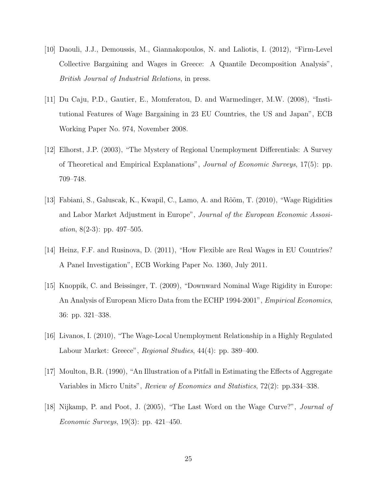- [10] Daouli, J.J., Demoussis, M., Giannakopoulos, N. and Laliotis, I. (2012), "Firm-Level Collective Bargaining and Wages in Greece: A Quantile Decomposition Analysis", *British Journal of Industrial Relations*, in press.
- [11] Du Caju, P.D., Gautier, E., Momferatou, D. and Warmedinger, M.W. (2008), "Institutional Features of Wage Bargaining in 23 EU Countries, the US and Japan", ECB Working Paper No. 974, November 2008.
- [12] Elhorst, J.P. (2003), "The Mystery of Regional Unemployment Differentials: A Survey of Theoretical and Empirical Explanations", *Journal of Economic Surveys*, 17(5): pp. 709–748.
- [13] Fabiani, S., Galuscak, K., Kwapil, C., Lamo, A. and R˜o˜om, T. (2010), "Wage Rigidities and Labor Market Adjustment in Europe", *Journal of the European Economic Assosiation*, 8(2-3): pp. 497–505.
- [14] Heinz, F.F. and Rusinova, D. (2011), "How Flexible are Real Wages in EU Countries? A Panel Investigation", ECB Working Paper No. 1360, July 2011.
- [15] Knoppik, C. and Beissinger, T. (2009), "Downward Nominal Wage Rigidity in Europe: An Analysis of European Micro Data from the ECHP 1994-2001", *Empirical Economics*, 36: pp. 321–338.
- [16] Livanos, I. (2010), "The Wage-Local Unemployment Relationship in a Highly Regulated Labour Market: Greece", *Regional Studies*, 44(4): pp. 389–400.
- [17] Moulton, B.R. (1990), "An Illustration of a Pitfall in Estimating the Effects of Aggregate Variables in Micro Units", *Review of Economics and Statistics*, 72(2): pp.334–338.
- [18] Nijkamp, P. and Poot, J. (2005), "The Last Word on the Wage Curve?", *Journal of Economic Surveys*, 19(3): pp. 421–450.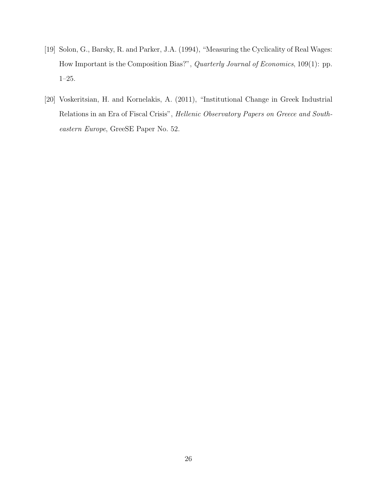- [19] Solon, G., Barsky, R. and Parker, J.A. (1994), "Measuring the Cyclicality of Real Wages: How Important is the Composition Bias?", *Quarterly Journal of Economics*, 109(1): pp. 1–25.
- [20] Voskeritsian, H. and Kornelakis, A. (2011), "Institutional Change in Greek Industrial Relations in an Era of Fiscal Crisis", *Hellenic Observatory Papers on Greece and Southeastern Europe*, GreeSE Paper No. 52.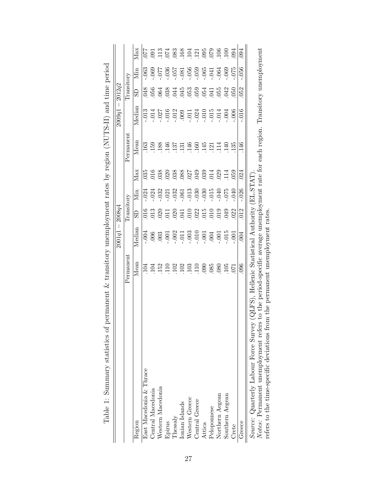|                                                                                                                                                                                                                                  |           | $2001q1 -$ | 2008q4                                    |          |                  |                   | $\vert$<br>2009q1 | 2012q2                                    |               |                   |
|----------------------------------------------------------------------------------------------------------------------------------------------------------------------------------------------------------------------------------|-----------|------------|-------------------------------------------|----------|------------------|-------------------|-------------------|-------------------------------------------|---------------|-------------------|
|                                                                                                                                                                                                                                  | Permanent |            | Transitory                                |          |                  | $\rm {Permanent}$ |                   | Transitory                                |               |                   |
| Region                                                                                                                                                                                                                           | Mean      | Median     | GS                                        | Min      | Max              | Mean              | Median            | GS                                        | Min           | Max               |
| East Macedonia & Thrace                                                                                                                                                                                                          | 104       | $-.004$    |                                           | .024     | 035              | 163               | $-0.13$           | 048                                       | .063          | 770               |
| Central Macedonia                                                                                                                                                                                                                |           | 006        | $\begin{array}{c} 016 \\ 013 \end{array}$ | $-024$   | .016             | 159               | .014              | $056\,$                                   | .069          | 50                |
| Western Macedonia                                                                                                                                                                                                                |           | 003        | 020                                       | $-032$   | 038              | $188\,$           | .027              | 064                                       | $L\!L\!0\!$ . |                   |
| Epirus                                                                                                                                                                                                                           |           | $-00$ .    | 011                                       | .021     | .020             | 146               | .016              | 038                                       | 0.36          | $^{113}_{074}$    |
| Thessaly                                                                                                                                                                                                                         |           | $-002$     |                                           | $-032$   |                  | 137               |                   | $\overline{5}$                            | $250 -$       |                   |
| Ionian<br>Islands                                                                                                                                                                                                                |           | $-011$     | 020<br>041                                | $-06$    | 88<br>080<br>027 | 131               | .012              | $045$                                     | $-.081$       |                   |
| Western Greece                                                                                                                                                                                                                   |           | $-.003$    |                                           | $-0.13$  |                  | 146               |                   | $\begin{array}{c} 053 \\ 059 \end{array}$ | $-056$        |                   |
| Central Greece                                                                                                                                                                                                                   |           | $-010$     | $\frac{0}{022}$                           | $-030$   |                  | 160               | $.011$<br>$.024$  |                                           | $-059$        | 83<br>1931<br>195 |
| Attica                                                                                                                                                                                                                           |           | $-0.001$   |                                           | $-0.30$  | $039\,$          | 145               | 010.              | 054                                       | $-065$        |                   |
| Peloponnese                                                                                                                                                                                                                      | 085       | .004       | $010\,$                                   | $-0.015$ | 014              | 121               | $-015$            | 041                                       | .041          | $\frac{079}{000}$ |
| Northern Aegean                                                                                                                                                                                                                  | 080       | $-001$     | $_{019}$                                  | $-040$   | .029             | 11 <sub>4</sub>   | .014              | 055                                       | .064          |                   |
| Southern Aegean                                                                                                                                                                                                                  | $105\,$   | $-0.015$   | 049                                       | $-075$   | 114              | 140               | .004              | 042                                       | 069           | 100               |
| Crete                                                                                                                                                                                                                            | 50        | $-001$     | 022                                       | 040.     | 059              | 135               | .006              | 050                                       | $-075$        | 094               |
| Greece                                                                                                                                                                                                                           | 096       | $_{004}$   | 012                                       | $-0.026$ | 024              | 146               | .016              | 052                                       | $-0.056$      | 094               |
| o the period-specific average unemployment rate for each region. Transitory unemployment<br>QLFS), Hellenic Statistical Authority (EL.STAT)<br>Notes: Permanent unemployment refers t<br>Source: Quarterly Labour Force Survey ( |           |            |                                           |          |                  |                   |                   |                                           |               |                   |
| the permanent unemployment rates<br>refers to the time-specific deviations from                                                                                                                                                  |           |            |                                           |          |                  |                   |                   |                                           |               |                   |

| l                                                                                                                                                                                                                              |  |
|--------------------------------------------------------------------------------------------------------------------------------------------------------------------------------------------------------------------------------|--|
| $\frac{1}{2}$                                                                                                                                                                                                                  |  |
|                                                                                                                                                                                                                                |  |
|                                                                                                                                                                                                                                |  |
|                                                                                                                                                                                                                                |  |
|                                                                                                                                                                                                                                |  |
|                                                                                                                                                                                                                                |  |
|                                                                                                                                                                                                                                |  |
| <b>CONSIGNATION CONSIGNATION</b>                                                                                                                                                                                               |  |
| ノー・ーー フーーー・                                                                                                                                                                                                                    |  |
|                                                                                                                                                                                                                                |  |
|                                                                                                                                                                                                                                |  |
|                                                                                                                                                                                                                                |  |
|                                                                                                                                                                                                                                |  |
|                                                                                                                                                                                                                                |  |
|                                                                                                                                                                                                                                |  |
|                                                                                                                                                                                                                                |  |
|                                                                                                                                                                                                                                |  |
|                                                                                                                                                                                                                                |  |
|                                                                                                                                                                                                                                |  |
|                                                                                                                                                                                                                                |  |
|                                                                                                                                                                                                                                |  |
|                                                                                                                                                                                                                                |  |
|                                                                                                                                                                                                                                |  |
|                                                                                                                                                                                                                                |  |
|                                                                                                                                                                                                                                |  |
|                                                                                                                                                                                                                                |  |
|                                                                                                                                                                                                                                |  |
|                                                                                                                                                                                                                                |  |
|                                                                                                                                                                                                                                |  |
|                                                                                                                                                                                                                                |  |
|                                                                                                                                                                                                                                |  |
|                                                                                                                                                                                                                                |  |
|                                                                                                                                                                                                                                |  |
|                                                                                                                                                                                                                                |  |
|                                                                                                                                                                                                                                |  |
|                                                                                                                                                                                                                                |  |
|                                                                                                                                                                                                                                |  |
|                                                                                                                                                                                                                                |  |
|                                                                                                                                                                                                                                |  |
|                                                                                                                                                                                                                                |  |
|                                                                                                                                                                                                                                |  |
|                                                                                                                                                                                                                                |  |
|                                                                                                                                                                                                                                |  |
|                                                                                                                                                                                                                                |  |
|                                                                                                                                                                                                                                |  |
|                                                                                                                                                                                                                                |  |
|                                                                                                                                                                                                                                |  |
| l                                                                                                                                                                                                                              |  |
|                                                                                                                                                                                                                                |  |
|                                                                                                                                                                                                                                |  |
| ALLAN AND MANUSCRIPT OF A STROKEN AND A LONG AND A LONG AND A LONG AND A LONG AND A LONG AND A LONG AND A LONG AND A LONG AND A LONG AND A LONG AND A LONG AND A LONG AND A LONG AND A LONG AND A LONG AND A LONG AND A LONG A |  |
| an of powyolongart. It from though over 110 over 2010 and root por a bee word in                                                                                                                                               |  |
|                                                                                                                                                                                                                                |  |
| $\frac{1}{2}$                                                                                                                                                                                                                  |  |
|                                                                                                                                                                                                                                |  |
|                                                                                                                                                                                                                                |  |
|                                                                                                                                                                                                                                |  |
|                                                                                                                                                                                                                                |  |
|                                                                                                                                                                                                                                |  |
|                                                                                                                                                                                                                                |  |
| さんしょう しょうしょう                                                                                                                                                                                                                   |  |
|                                                                                                                                                                                                                                |  |
|                                                                                                                                                                                                                                |  |
|                                                                                                                                                                                                                                |  |
|                                                                                                                                                                                                                                |  |
|                                                                                                                                                                                                                                |  |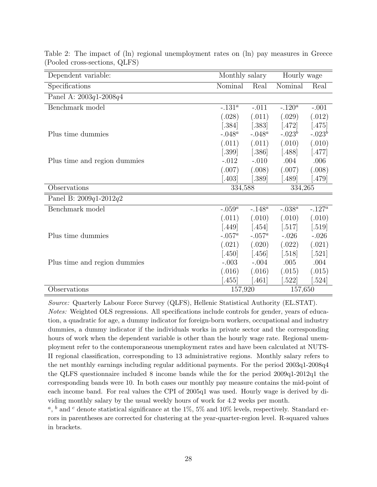| Dependent variable:          | Monthly salary |           | Hourly wage          |           |
|------------------------------|----------------|-----------|----------------------|-----------|
| Specifications               | Nominal        | Real      | Nominal              | Real      |
| Panel A: $2003q1 - 2008q4$   |                |           |                      |           |
| Benchmark model              | $-.131^a$      | $-.011$   | $-.120^a$            | $-.001$   |
|                              | (.028)         | (.011)    | (.029)               | (.012)    |
|                              | $[.384]$       | $[.383]$  | [.472]               | $[.475]$  |
| Plus time dummies            | $-.048^a$      | $-.048^a$ | $-.023^b$            | $-.023^b$ |
|                              | (.011)         | (.011)    | (.010)               | (.010)    |
|                              | $[.399]$       | $[.386]$  | [.488]               | $[.477]$  |
| Plus time and region dummies | $-.012$        | $-.010$   | .004                 | .006      |
|                              | (.007)         | (.008)    | (.007)               | (.008)    |
|                              | [.403]         | [.389]    | .489                 | [.479]    |
| Observations                 | 334,588        |           | 334,265              |           |
| Panel B: $2009q1-2012q2$     |                |           |                      |           |
| Benchmark model              | $-.059^a$      | $-.148^a$ | $-.038^a$            | $-.127^a$ |
|                              | (.011)         | (.010)    | (.010)               | (.010)    |
|                              | $[.449]$       | $[.454]$  | $\left[ .517\right]$ | $[.519]$  |
| Plus time dummies            | $-.057^a$      | $-.057^a$ | $-.026$              | $-.026$   |
|                              | (.021)         | (.020)    | (.022)               | (.021)    |
|                              | $[.450]$       | $[.456]$  | [.518]               | $[.521]$  |
| Plus time and region dummies | $-.003$        | $-.004$   | .005                 | .004      |
|                              | (.016)         | (.016)    | (.015)               | (.015)    |
|                              | $-455$         | [.461]    | .522                 | [.524]    |
| Observations                 | 157,920        |           | 157,650              |           |

Table 2: The impact of (ln) regional unemployment rates on (ln) pay measures in Greece (Pooled cross-sections, QLFS)

*Source:* Quarterly Labour Force Survey (QLFS), Hellenic Statistical Authority (EL.STAT). *Notes:* Weighted OLS regressions. All specifications include controls for gender, years of education, a quadratic for age, a dummy indicator for foreign-born workers, occupational and industry dummies, a dummy indicator if the individuals works in private sector and the corresponding hours of work when the dependent variable is other than the hourly wage rate. Regional unemployment refer to the contemporaneous unemployment rates and have been calculated at NUTS-II regional classification, corresponding to 13 administrative regions. Monthly salary refers to the net monthly earnings including regular additional payments. For the period 2003q1-2008q4 the QLFS questionnaire included 8 income bands while the for the period 2009q1-2012q1 the corresponding bands were 10. In both cases our monthly pay measure contains the mid-point of each income band. For real values the CPI of 2005q1 was used. Hourly wage is derived by dividing monthly salary by the usual weekly hours of work for 4.2 weeks per month.

 $a, b$  and <sup>*c*</sup> denote statistical significance at the 1%, 5% and 10% levels, respectively. Standard errors in parentheses are corrected for clustering at the year-quarter-region level. R-squared values in brackets.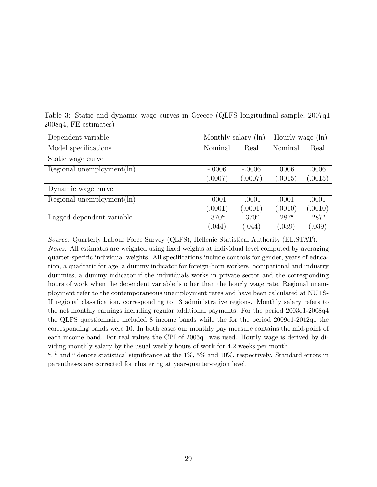| Dependent variable:           | Monthly salary (ln)  |                   | Hourly wage (ln) |          |
|-------------------------------|----------------------|-------------------|------------------|----------|
| Model specifications          | Nominal              | Real              | Nominal          | Real     |
| Static wage curve             |                      |                   |                  |          |
| Regional unemployment $(\ln)$ | $-.0006$<br>$-.0006$ |                   | .0006            | .0006    |
|                               | (.0007)              | (.0007)           | (.0015)          | (.0015)  |
| Dynamic wage curve            |                      |                   |                  |          |
| Regional unemployment $(\ln)$ | $-.0001$             | $-.0001$          | .0001            | .0001    |
|                               | (.0001)              | (.0001)           | (.0010)          | (.0010)  |
| Lagged dependent variable     | .370 <sup>a</sup>    | .370 <sup>a</sup> | $.287^a$         | $.287^a$ |
|                               | (.044)               | (.044)            | (.039)           | (.039)   |

Table 3: Static and dynamic wage curves in Greece (QLFS longitudinal sample, 2007q1- 2008q4, FE estimates)

*Source:* Quarterly Labour Force Survey (QLFS), Hellenic Statistical Authority (EL.STAT). *Notes:* All estimates are weighted using fixed weights at individual level computed by averaging quarter-specific individual weights. All specifications include controls for gender, years of education, a quadratic for age, a dummy indicator for foreign-born workers, occupational and industry dummies, a dummy indicator if the individuals works in private sector and the corresponding hours of work when the dependent variable is other than the hourly wage rate. Regional unemployment refer to the contemporaneous unemployment rates and have been calculated at NUTS-II regional classification, corresponding to 13 administrative regions. Monthly salary refers to the net monthly earnings including regular additional payments. For the period 2003q1-2008q4 the QLFS questionnaire included 8 income bands while the for the period 2009q1-2012q1 the corresponding bands were 10. In both cases our monthly pay measure contains the mid-point of each income band. For real values the CPI of 2005q1 was used. Hourly wage is derived by dividing monthly salary by the usual weekly hours of work for 4.2 weeks per month.

 $a, b$  and <sup>*c*</sup> denote statistical significance at the 1%, 5% and 10%, respectively. Standard errors in parentheses are corrected for clustering at year-quarter-region level.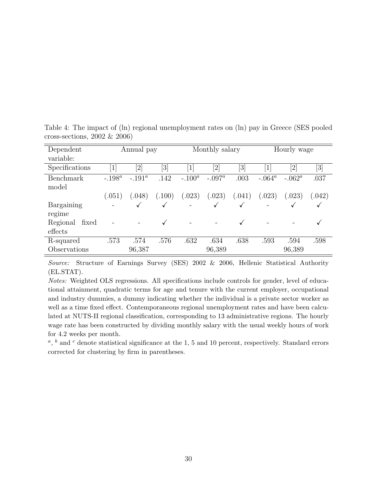| Dependent         |           | Annual pay   |                   |           | Monthly salary |              |                  | Hourly wage |                                                                                                                                                            |
|-------------------|-----------|--------------|-------------------|-----------|----------------|--------------|------------------|-------------|------------------------------------------------------------------------------------------------------------------------------------------------------------|
| variable:         |           |              |                   |           |                |              |                  |             |                                                                                                                                                            |
| Specifications    | $[1]$     | [2]          | $\left[ 3\right]$ |           | 2              | [3]          | $\left  \right $ | [2]         | $[3] % \includegraphics[width=0.9\columnwidth]{figures/fig_1a} \caption{Schematic diagram of the top of the top of the top of the right.} \label{fig:1} %$ |
| Benchmark         | $-.198^a$ | $-.191^a$    | .142              | $-.100^a$ | $-.097^a$      | .003         | $-.064^a$        | $-.062^a$   | .037                                                                                                                                                       |
| model             |           |              |                   |           |                |              |                  |             |                                                                                                                                                            |
|                   | (.051)    | (.048)       | (.100)            | (.023)    | (.023)         | (.041)       | (.023)           | (.023)      | (0.042)                                                                                                                                                    |
| Bargaining        |           | $\checkmark$ |                   |           | $\checkmark$   | $\checkmark$ |                  |             |                                                                                                                                                            |
| regime            |           |              |                   |           |                |              |                  |             |                                                                                                                                                            |
| Regional<br>fixed |           |              |                   |           |                | $\checkmark$ |                  |             |                                                                                                                                                            |
| effects           |           |              |                   |           |                |              |                  |             |                                                                                                                                                            |
| R-squared         | .573      | .574         | .576              | .632      | .634           | .638         | .593             | .594        | .598                                                                                                                                                       |
| Observations      |           | 96,387       |                   |           | 96,389         |              |                  | 96,389      |                                                                                                                                                            |

Table 4: The impact of (ln) regional unemployment rates on (ln) pay in Greece (SES pooled cross-sections, 2002 & 2006)

*Source:* Structure of Earnings Survey (SES) 2002 & 2006, Hellenic Statistical Authority (EL.STAT).

*Notes:* Weighted OLS regressions. All specifications include controls for gender, level of educational attainment, quadratic terms for age and tenure with the current employer, occupational and industry dummies, a dummy indicating whether the individual is a private sector worker as well as a time fixed effect. Contemporaneous regional unemployment rates and have been calculated at NUTS-II regional classification, corresponding to 13 administrative regions. The hourly wage rate has been constructed by dividing monthly salary with the usual weekly hours of work for 4.2 weeks per month.

 $a, b$  and  $c$  denote statistical significance at the 1, 5 and 10 percent, respectively. Standard errors corrected for clustering by firm in parentheses.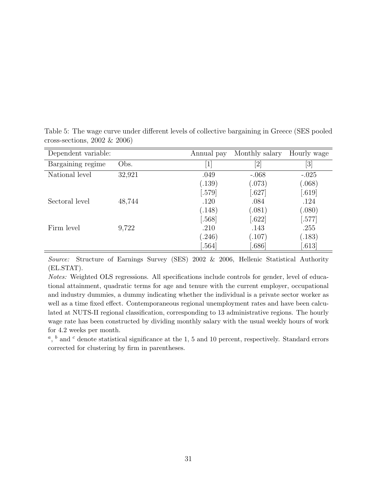| Dependent variable: |        | Annual pay                   | Monthly salary   | Hourly wage |
|---------------------|--------|------------------------------|------------------|-------------|
| Bargaining regime   | Obs.   | $\left\lceil 1 \right\rceil$ | $\left 2\right $ | [3]         |
| National level      | 32,921 | .049                         | $-.068$          | $-.025$     |
|                     |        | (.139)                       | (.073)           | (.068)      |
|                     |        | [.579]                       | .627             | [.619]      |
| Sectoral level      | 48,744 | .120                         | .084             | .124        |
|                     |        | (.148)                       | (.081)           | (.080)      |
|                     |        | [.568]                       | .622             | [.577]      |
| Firm level          | 9,722  | .210                         | .143             | .255        |
|                     |        | (246)                        | (.107)           | (.183)      |
|                     |        | .564]                        | .686             | [.613]      |

Table 5: The wage curve under different levels of collective bargaining in Greece (SES pooled cross-sections, 2002 & 2006)

*Source:* Structure of Earnings Survey (SES) 2002 & 2006, Hellenic Statistical Authority (EL.STAT).

*Notes:* Weighted OLS regressions. All specifications include controls for gender, level of educational attainment, quadratic terms for age and tenure with the current employer, occupational and industry dummies, a dummy indicating whether the individual is a private sector worker as well as a time fixed effect. Contemporaneous regional unemployment rates and have been calculated at NUTS-II regional classification, corresponding to 13 administrative regions. The hourly wage rate has been constructed by dividing monthly salary with the usual weekly hours of work for 4.2 weeks per month.

<sup>*a*</sup>, <sup>*b*</sup> and <sup>*c*</sup> denote statistical significance at the 1, 5 and 10 percent, respectively. Standard errors corrected for clustering by firm in parentheses.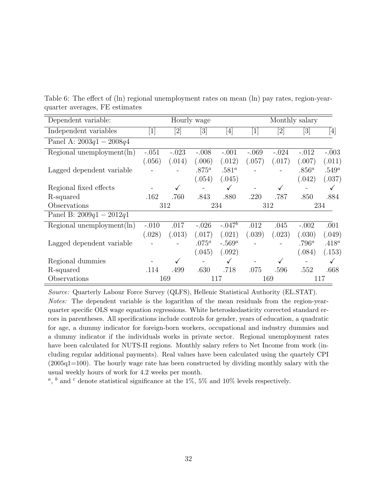| Dependent variable:           |            |                                                                                                                                                            | Hourly wage                                                                                                                                                |                                                                                                                                                                                  |         |                   | Monthly salary                                                                                                                                             |                                                                                                                                                                                       |
|-------------------------------|------------|------------------------------------------------------------------------------------------------------------------------------------------------------------|------------------------------------------------------------------------------------------------------------------------------------------------------------|----------------------------------------------------------------------------------------------------------------------------------------------------------------------------------|---------|-------------------|------------------------------------------------------------------------------------------------------------------------------------------------------------|---------------------------------------------------------------------------------------------------------------------------------------------------------------------------------------|
| Independent variables         | $[1]$      | $[2] % \includegraphics[width=0.9\columnwidth]{figures/fig_1a} \caption{Schematic diagram of the top of the top of the top of the right.} \label{fig:1} %$ | $[3] % \includegraphics[width=0.9\columnwidth]{figures/fig_1a} \caption{Schematic diagram of the top of the top of the top of the right.} \label{fig:1} %$ | $[4] % \includegraphics[width=0.9\columnwidth]{figures/fig_4} \caption{A graph shows a function of the parameter $\{1,2,3,\cdots,4\}$ for the $4$ and $3$-thick.} \label{fig:2}$ | $[1]$   | $[2]$             | $[3] % \includegraphics[width=0.9\columnwidth]{figures/fig_1a} \caption{Schematic diagram of the top of the top of the top of the right.} \label{fig:1} %$ | $[4] % \includegraphics[width=1\textwidth]{images/TrDiM-Architecture.png} \caption{The figure shows the results of the estimators in the left hand side.} \label{TrDiM-Architecture}$ |
| Panel A: $2003q1 - 2008q4$    |            |                                                                                                                                                            |                                                                                                                                                            |                                                                                                                                                                                  |         |                   |                                                                                                                                                            |                                                                                                                                                                                       |
| Regional unemployment $(\ln)$ | $-.051$    | $-.023$                                                                                                                                                    | $-.008$                                                                                                                                                    | $-.001$                                                                                                                                                                          | $-.069$ | $-.024$           | $-.012$                                                                                                                                                    | $-.003$                                                                                                                                                                               |
|                               | (.056)     | (.014)                                                                                                                                                     | (.006)                                                                                                                                                     | (.012)                                                                                                                                                                           | (.057)  | (.017)            | (.007)                                                                                                                                                     | (.011)                                                                                                                                                                                |
| Lagged dependent variable     |            |                                                                                                                                                            | $.875^a$                                                                                                                                                   | .581 <sup>a</sup>                                                                                                                                                                |         |                   | $.856^a$                                                                                                                                                   | $.549^a$                                                                                                                                                                              |
|                               |            |                                                                                                                                                            | (.054)                                                                                                                                                     | (.045)                                                                                                                                                                           |         |                   | (.042)                                                                                                                                                     | (.037)                                                                                                                                                                                |
| Regional fixed effects        |            | ✓                                                                                                                                                          |                                                                                                                                                            | $\checkmark$                                                                                                                                                                     |         | $\checkmark$      |                                                                                                                                                            | $\checkmark$                                                                                                                                                                          |
| R-squared                     | .162       | .760                                                                                                                                                       | .843                                                                                                                                                       | .880                                                                                                                                                                             | .220    | .787              | .850                                                                                                                                                       | .884                                                                                                                                                                                  |
| Observations                  | 234<br>312 |                                                                                                                                                            |                                                                                                                                                            |                                                                                                                                                                                  | 312     | 234               |                                                                                                                                                            |                                                                                                                                                                                       |
| Panel B: $2009q1 - 2012q1$    |            |                                                                                                                                                            |                                                                                                                                                            |                                                                                                                                                                                  |         |                   |                                                                                                                                                            |                                                                                                                                                                                       |
| Regional unemployment $(\ln)$ | $-.010$    | .017                                                                                                                                                       | $-.026$                                                                                                                                                    | $-.047^b$                                                                                                                                                                        | .012    | .045              | $-.002$                                                                                                                                                    | .001                                                                                                                                                                                  |
|                               | (.028)     | (.013)                                                                                                                                                     | (.017)                                                                                                                                                     | (.021)                                                                                                                                                                           | (.039)  | (.023)            | (.030)                                                                                                                                                     | (.049)                                                                                                                                                                                |
| Lagged dependent variable     |            |                                                                                                                                                            | $.075^a$                                                                                                                                                   | $-.569^a$                                                                                                                                                                        |         | $\qquad \qquad -$ | $.796^a$                                                                                                                                                   | $.418^a$                                                                                                                                                                              |
|                               |            |                                                                                                                                                            | (.045)                                                                                                                                                     | (.092)                                                                                                                                                                           |         |                   | (.084)                                                                                                                                                     | (.153)                                                                                                                                                                                |
| Regional dummies              |            | $\checkmark$                                                                                                                                               | -                                                                                                                                                          | $\checkmark$                                                                                                                                                                     |         | $\checkmark$      |                                                                                                                                                            | $\checkmark$                                                                                                                                                                          |
| R-squared                     | .114       | .499                                                                                                                                                       | .630                                                                                                                                                       | .718                                                                                                                                                                             | .075    | .596              | .552                                                                                                                                                       | .668                                                                                                                                                                                  |
| Observations                  |            | 169                                                                                                                                                        |                                                                                                                                                            | 117                                                                                                                                                                              |         | 169               |                                                                                                                                                            | 117                                                                                                                                                                                   |

Table 6: The effect of (ln) regional unemployment rates on mean (ln) pay rates, region-yearquarter averages, FE estimates

*Source:* Quarterly Labour Force Survey (QLFS), Hellenic Statistical Authority (EL.STAT). *Notes:* The dependent variable is the logarithm of the mean residuals from the region-yearquarter specific OLS wage equation regressions. White heteroskedasticity corrected standard errors in parentheses. All specifications include controls for gender, years of education, a quadratic for age, a dummy indicator for foreign-born workers, occupational and industry dummies and a dummy indicator if the individuals works in private sector. Regional unemployment rates have been calculated for NUTS-II regions. Monthly salary refers to Net Income from work (including regular additional payments). Real values have been calculated using the quartely CPI (2005q1=100). The hourly wage rate has been constructed by dividing monthly salary with the usual weekly hours of work for 4.2 weeks per month.

 $a, b$  and  $c$  denote statistical significance at the 1%, 5% and 10% levels respectively.